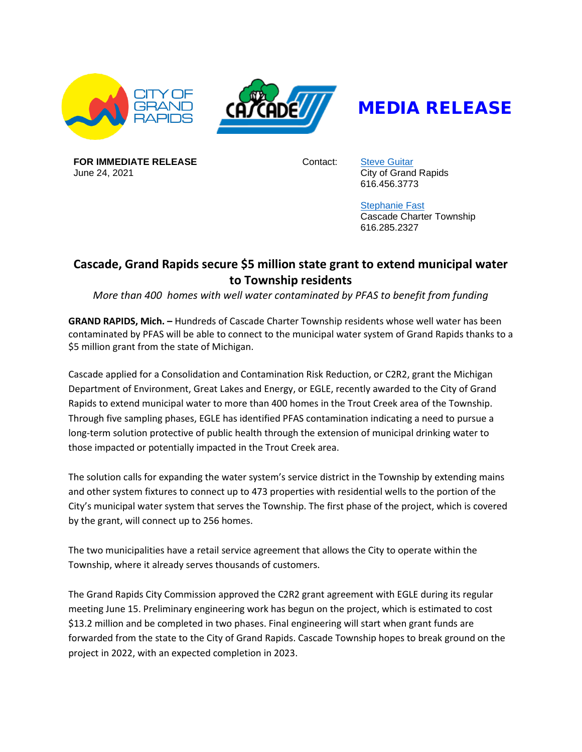



## MEDIA RELEASE

**FOR IMMEDIATE RELEASE** June 24, 2021

Contact: [Steve Guitar](mailto:sguitar@grcity.us) City of Grand Rapids 616.456.3773

> [Stephanie](http://sfast@cascadetwp.com) Fast Cascade Charter Township 616.285.2327

## **Cascade, Grand Rapids secure \$5 million state grant to extend municipal water to Township residents**

*More than 400 homes with well water contaminated by PFAS to benefit from funding*

**GRAND RAPIDS, Mich. –** Hundreds of Cascade Charter Township residents whose well water has been contaminated by PFAS will be able to connect to the municipal water system of Grand Rapids thanks to a \$5 million grant from the state of Michigan.

Cascade applied for a Consolidation and Contamination Risk Reduction, or C2R2, grant the Michigan Department of Environment, Great Lakes and Energy, or EGLE, recently awarded to the City of Grand Rapids to extend municipal water to more than 400 homes in the Trout Creek area of the Township. Through five sampling phases, EGLE has identified PFAS contamination indicating a need to pursue a long-term solution protective of public health through the extension of municipal drinking water to those impacted or potentially impacted in the Trout Creek area.

The solution calls for expanding the water system's service district in the Township by extending mains and other system fixtures to connect up to 473 properties with residential wells to the portion of the City's municipal water system that serves the Township. The first phase of the project, which is covered by the grant, will connect up to 256 homes.

The two municipalities have a retail service agreement that allows the City to operate within the Township, where it already serves thousands of customers.

The Grand Rapids City Commission approved the C2R2 grant agreement with EGLE during its regular meeting June 15. Preliminary engineering work has begun on the project, which is estimated to cost \$13.2 million and be completed in two phases. Final engineering will start when grant funds are forwarded from the state to the City of Grand Rapids. Cascade Township hopes to break ground on the project in 2022, with an expected completion in 2023.